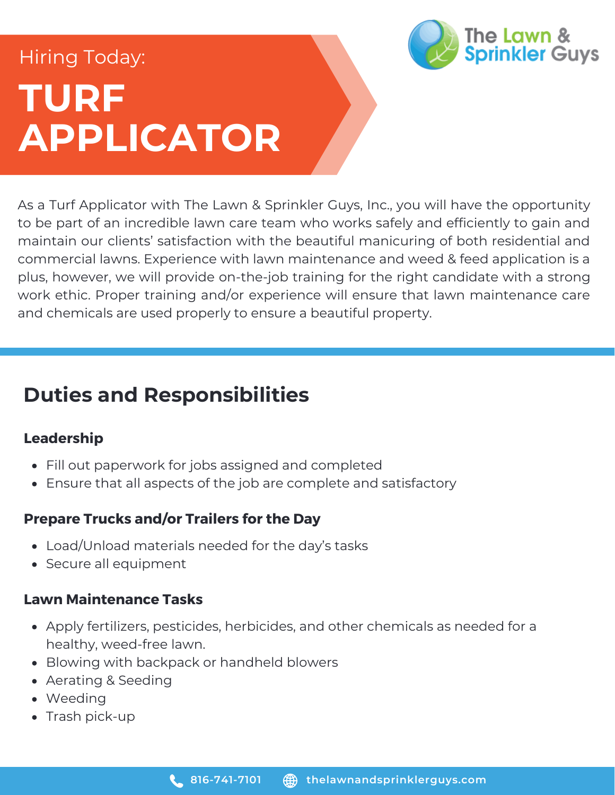# **TURF APPLICATOR** Hiring Today:



As a Turf Applicator with The Lawn & Sprinkler Guys, Inc., you will have the opportunity to be part of an incredible lawn care team who works safely and efficiently to gain and maintain our clients' satisfaction with the beautiful manicuring of both residential and commercial lawns. Experience with lawn maintenance and weed & feed application is a plus, however, we will provide on-the-job training for the right candidate with a strong work ethic. Proper training and/or experience will ensure that lawn maintenance care and chemicals are used properly to ensure a beautiful property.

### **Duties and Responsibilities**

#### **Leadership**

- Fill out paperwork for jobs assigned and completed
- Ensure that all aspects of the job are complete and satisfactory

#### **Prepare Trucks and/or Trailers for the Day**

- Load/Unload materials needed for the day's tasks
- Secure all equipment

#### **Lawn Maintenance Tasks**

- Apply fertilizers, pesticides, herbicides, and other chemicals as needed for a healthy, weed-free lawn.
- Blowing with backpack or handheld blowers
- Aerating & Seeding
- Weeding
- $\bullet$  Trash pick-up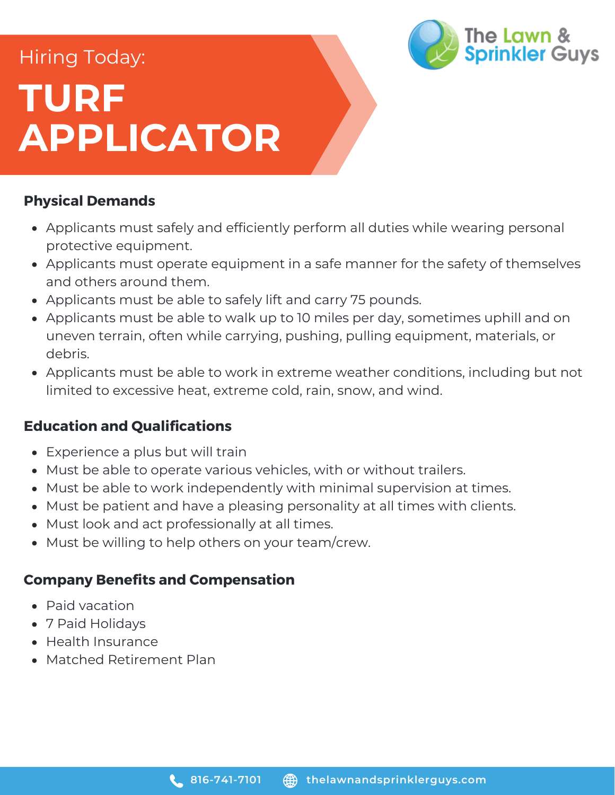# **TURF APPLICATOR** Hiring Today:

#### **Physical Demands**

- Applicants must safely and efficiently perform all duties while wearing personal protective equipment.
- Applicants must operate equipment in a safe manner for the safety of themselves and others around them.

The Lawn &

**Sprinkler Guys** 

- Applicants must be able to safely lift and carry 75 pounds.
- Applicants must be able to walk up to 10 miles per day, sometimes uphill and on uneven terrain, often while carrying, pushing, pulling equipment, materials, or debris.
- Applicants must be able to work in extreme weather conditions, including but not limited to excessive heat, extreme cold, rain, snow, and wind.

#### **Education and Qualifications**

- Experience a plus but will train
- Must be able to operate various vehicles, with or without trailers.
- Must be able to work independently with minimal supervision at times.
- Must be patient and have a pleasing personality at all times with clients.
- Must look and act professionally at all times.
- Must be willing to help others on your team/crew.

#### **Company Benefits and Compensation**

- Paid vacation
- 7 Paid Holidays
- Health Insurance
- Matched Retirement Plan